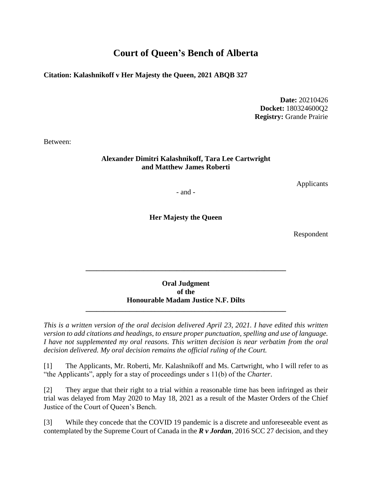# **Court of Queen's Bench of Alberta**

**Citation: Kalashnikoff v Her Majesty the Queen, 2021 ABQB 327**

**Date:** 20210426 **Docket:** 180324600Q2 **Registry:** Grande Prairie

Between:

#### **Alexander Dimitri Kalashnikoff, Tara Lee Cartwright and Matthew James Roberti**

Applicants

- and -

**Her Majesty the Queen**

Respondent

### **Oral Judgment of the Honourable Madam Justice N.F. Dilts**

**\_\_\_\_\_\_\_\_\_\_\_\_\_\_\_\_\_\_\_\_\_\_\_\_\_\_\_\_\_\_\_\_\_\_\_\_\_\_\_\_\_\_\_\_\_\_\_\_\_\_\_\_\_\_\_**

**\_\_\_\_\_\_\_\_\_\_\_\_\_\_\_\_\_\_\_\_\_\_\_\_\_\_\_\_\_\_\_\_\_\_\_\_\_\_\_\_\_\_\_\_\_\_\_\_\_\_\_\_\_\_\_**

*This is a written version of the oral decision delivered April 23, 2021. I have edited this written version to add citations and headings, to ensure proper punctuation, spelling and use of language. I have not supplemented my oral reasons. This written decision is near verbatim from the oral decision delivered. My oral decision remains the official ruling of the Court.* 

[1] The Applicants, Mr. Roberti, Mr. Kalashnikoff and Ms. Cartwright, who I will refer to as "the Applicants", apply for a stay of proceedings under s 11(b) of the *Charter*.

[2] They argue that their right to a trial within a reasonable time has been infringed as their trial was delayed from May 2020 to May 18, 2021 as a result of the Master Orders of the Chief Justice of the Court of Queen's Bench.

[3] While they concede that the COVID 19 pandemic is a discrete and unforeseeable event as contemplated by the Supreme Court of Canada in the *R v Jordan*, 2016 SCC 27 decision, and they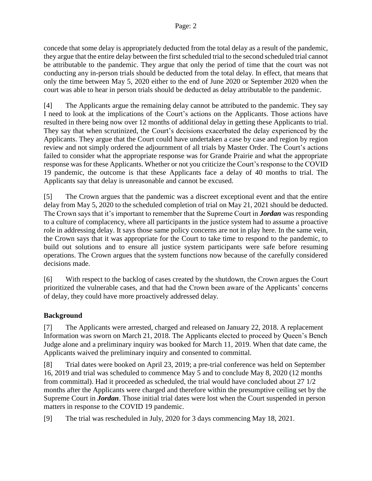concede that some delay is appropriately deducted from the total delay as a result of the pandemic, they argue that the entire delay between the first scheduled trial to the second scheduled trial cannot be attributable to the pandemic. They argue that only the period of time that the court was not conducting any in-person trials should be deducted from the total delay. In effect, that means that only the time between May 5, 2020 either to the end of June 2020 or September 2020 when the court was able to hear in person trials should be deducted as delay attributable to the pandemic.

[4] The Applicants argue the remaining delay cannot be attributed to the pandemic. They say I need to look at the implications of the Court's actions on the Applicants. Those actions have resulted in there being now over 12 months of additional delay in getting these Applicants to trial. They say that when scrutinized, the Court's decisions exacerbated the delay experienced by the Applicants. They argue that the Court could have undertaken a case by case and region by region review and not simply ordered the adjournment of all trials by Master Order. The Court's actions failed to consider what the appropriate response was for Grande Prairie and what the appropriate response was for these Applicants. Whether or not you criticize the Court's response to the COVID 19 pandemic, the outcome is that these Applicants face a delay of 40 months to trial. The Applicants say that delay is unreasonable and cannot be excused.

[5] The Crown argues that the pandemic was a discreet exceptional event and that the entire delay from May 5, 2020 to the scheduled completion of trial on May 21, 2021 should be deducted. The Crown says that it's important to remember that the Supreme Court in *Jordan* was responding to a culture of complacency, where all participants in the justice system had to assume a proactive role in addressing delay. It says those same policy concerns are not in play here. In the same vein, the Crown says that it was appropriate for the Court to take time to respond to the pandemic, to build out solutions and to ensure all justice system participants were safe before resuming operations. The Crown argues that the system functions now because of the carefully considered decisions made.

[6] With respect to the backlog of cases created by the shutdown, the Crown argues the Court prioritized the vulnerable cases, and that had the Crown been aware of the Applicants' concerns of delay, they could have more proactively addressed delay.

### **Background**

[7] The Applicants were arrested, charged and released on January 22, 2018. A replacement Information was sworn on March 21, 2018. The Applicants elected to proceed by Queen's Bench Judge alone and a preliminary inquiry was booked for March 11, 2019. When that date came, the Applicants waived the preliminary inquiry and consented to committal.

[8] Trial dates were booked on April 23, 2019; a pre-trial conference was held on September 16, 2019 and trial was scheduled to commence May 5 and to conclude May 8, 2020 (12 months from committal). Had it proceeded as scheduled, the trial would have concluded about 27 1/2 months after the Applicants were charged and therefore within the presumptive ceiling set by the Supreme Court in *Jordan*. Those initial trial dates were lost when the Court suspended in person matters in response to the COVID 19 pandemic.

[9] The trial was rescheduled in July, 2020 for 3 days commencing May 18, 2021.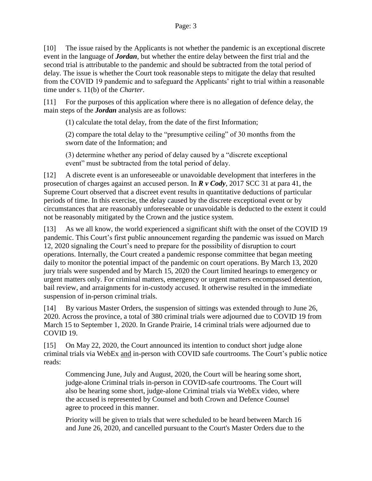[10] The issue raised by the Applicants is not whether the pandemic is an exceptional discrete event in the language of *Jordan*, but whether the entire delay between the first trial and the second trial is attributable to the pandemic and should be subtracted from the total period of delay. The issue is whether the Court took reasonable steps to mitigate the delay that resulted from the COVID 19 pandemic and to safeguard the Applicants' right to trial within a reasonable time under s. 11(b) of the *Charter*.

[11] For the purposes of this application where there is no allegation of defence delay, the main steps of the *Jordan* analysis are as follows:

(1) calculate the total delay, from the date of the first Information;

(2) compare the total delay to the "presumptive ceiling" of 30 months from the sworn date of the Information; and

(3) determine whether any period of delay caused by a "discrete exceptional event" must be subtracted from the total period of delay.

[12] A discrete event is an unforeseeable or unavoidable development that interferes in the prosecution of charges against an accused person. In *R v Cody*, 2017 SCC 31 at para 41, the Supreme Court observed that a discreet event results in quantitative deductions of particular periods of time. In this exercise, the delay caused by the discrete exceptional event or by circumstances that are reasonably unforeseeable or unavoidable is deducted to the extent it could not be reasonably mitigated by the Crown and the justice system.

[13] As we all know, the world experienced a significant shift with the onset of the COVID 19 pandemic. This Court's first public announcement regarding the pandemic was issued on March 12, 2020 signaling the Court's need to prepare for the possibility of disruption to court operations. Internally, the Court created a pandemic response committee that began meeting daily to monitor the potential impact of the pandemic on court operations. By March 13, 2020 jury trials were suspended and by March 15, 2020 the Court limited hearings to emergency or urgent matters only. For criminal matters, emergency or urgent matters encompassed detention, bail review, and arraignments for in-custody accused. It otherwise resulted in the immediate suspension of in-person criminal trials.

[14] By various Master Orders, the suspension of sittings was extended through to June 26, 2020. Across the province, a total of 380 criminal trials were adjourned due to COVID 19 from March 15 to September 1, 2020. In Grande Prairie, 14 criminal trials were adjourned due to COVID 19.

[15] On May 22, 2020, the Court announced its intention to conduct short judge alone criminal trials via WebEx and in-person with COVID safe courtrooms. The Court's public notice reads:

Commencing June, July and August, 2020, the Court will be hearing some short, judge-alone Criminal trials in-person in COVID-safe courtrooms. The Court will also be hearing some short, judge-alone Criminal trials via WebEx video, where the accused is represented by Counsel and both Crown and Defence Counsel agree to proceed in this manner.

Priority will be given to trials that were scheduled to be heard between March 16 and June 26, 2020, and cancelled pursuant to the Court's Master Orders due to the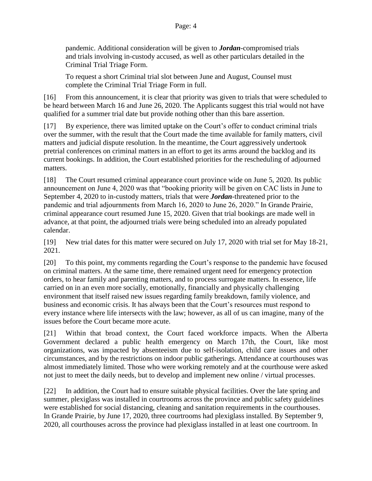#### Page: 4

pandemic. Additional consideration will be given to *Jordan*-compromised trials and trials involving in-custody accused, as well as other particulars detailed in the Criminal Trial Triage Form.

To request a short Criminal trial slot between June and August, Counsel must complete the Criminal Trial Triage Form in full.

[16] From this announcement, it is clear that priority was given to trials that were scheduled to be heard between March 16 and June 26, 2020. The Applicants suggest this trial would not have qualified for a summer trial date but provide nothing other than this bare assertion.

[17] By experience, there was limited uptake on the Court's offer to conduct criminal trials over the summer, with the result that the Court made the time available for family matters, civil matters and judicial dispute resolution. In the meantime, the Court aggressively undertook pretrial conferences on criminal matters in an effort to get its arms around the backlog and its current bookings. In addition, the Court established priorities for the rescheduling of adjourned matters.

[18] The Court resumed criminal appearance court province wide on June 5, 2020. Its public announcement on June 4, 2020 was that "booking priority will be given on CAC lists in June to September 4, 2020 to in-custody matters, trials that were *Jordan*-threatened prior to the pandemic and trial adjournments from March 16, 2020 to June 26, 2020." In Grande Prairie, criminal appearance court resumed June 15, 2020. Given that trial bookings are made well in advance, at that point, the adjourned trials were being scheduled into an already populated calendar.

[19] New trial dates for this matter were secured on July 17, 2020 with trial set for May 18-21, 2021.

[20] To this point, my comments regarding the Court's response to the pandemic have focused on criminal matters. At the same time, there remained urgent need for emergency protection orders, to hear family and parenting matters, and to process surrogate matters. In essence, life carried on in an even more socially, emotionally, financially and physically challenging environment that itself raised new issues regarding family breakdown, family violence, and business and economic crisis. It has always been that the Court's resources must respond to every instance where life intersects with the law; however, as all of us can imagine, many of the issues before the Court became more acute.

[21] Within that broad context, the Court faced workforce impacts. When the Alberta Government declared a public health emergency on March 17th, the Court, like most organizations, was impacted by absenteeism due to self-isolation, child care issues and other circumstances, and by the restrictions on indoor public gatherings. Attendance at courthouses was almost immediately limited. Those who were working remotely and at the courthouse were asked not just to meet the daily needs, but to develop and implement new online / virtual processes.

[22] In addition, the Court had to ensure suitable physical facilities. Over the late spring and summer, plexiglass was installed in courtrooms across the province and public safety guidelines were established for social distancing, cleaning and sanitation requirements in the courthouses. In Grande Prairie, by June 17, 2020, three courtrooms had plexiglass installed. By September 9, 2020, all courthouses across the province had plexiglass installed in at least one courtroom. In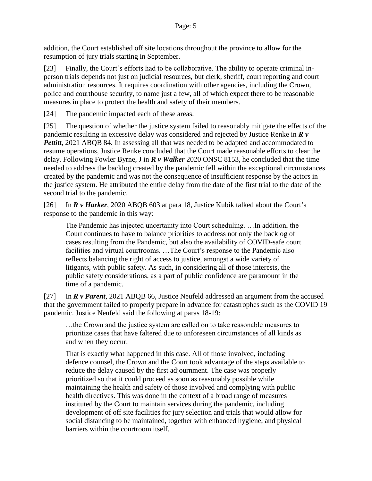addition, the Court established off site locations throughout the province to allow for the resumption of jury trials starting in September.

[23] Finally, the Court's efforts had to be collaborative. The ability to operate criminal inperson trials depends not just on judicial resources, but clerk, sheriff, court reporting and court administration resources. It requires coordination with other agencies, including the Crown, police and courthouse security, to name just a few, all of which expect there to be reasonable measures in place to protect the health and safety of their members.

[24] The pandemic impacted each of these areas.

[25] The question of whether the justice system failed to reasonably mitigate the effects of the pandemic resulting in excessive delay was considered and rejected by Justice Renke in *R v Pettitt*, 2021 ABQB 84. In assessing all that was needed to be adapted and accommodated to resume operations, Justice Renke concluded that the Court made reasonable efforts to clear the delay. Following Fowler Byrne, J in *R v Walker* 2020 ONSC 8153, he concluded that the time needed to address the backlog created by the pandemic fell within the exceptional circumstances created by the pandemic and was not the consequence of insufficient response by the actors in the justice system. He attributed the entire delay from the date of the first trial to the date of the second trial to the pandemic.

[26] In *R v Harker*, 2020 ABQB 603 at para 18, Justice Kubik talked about the Court's response to the pandemic in this way:

The Pandemic has injected uncertainty into Court scheduling. …In addition, the Court continues to have to balance priorities to address not only the backlog of cases resulting from the Pandemic, but also the availability of COVID-safe court facilities and virtual courtrooms. …The Court's response to the Pandemic also reflects balancing the right of access to justice, amongst a wide variety of litigants, with public safety. As such, in considering all of those interests, the public safety considerations, as a part of public confidence are paramount in the time of a pandemic.

[27] In *R v Parent*, 2021 ABQB 66, Justice Neufeld addressed an argument from the accused that the government failed to properly prepare in advance for catastrophes such as the COVID 19 pandemic. Justice Neufeld said the following at paras 18-19:

…the Crown and the justice system are called on to take reasonable measures to prioritize cases that have faltered due to unforeseen circumstances of all kinds as and when they occur.

That is exactly what happened in this case. All of those involved, including defence counsel, the Crown and the Court took advantage of the steps available to reduce the delay caused by the first adjournment. The case was properly prioritized so that it could proceed as soon as reasonably possible while maintaining the health and safety of those involved and complying with public health directives. This was done in the context of a broad range of measures instituted by the Court to maintain services during the pandemic, including development of off site facilities for jury selection and trials that would allow for social distancing to be maintained, together with enhanced hygiene, and physical barriers within the courtroom itself.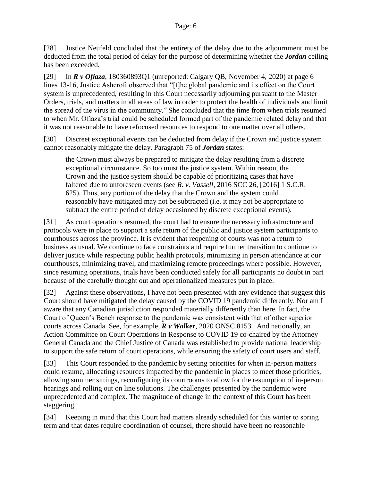[28] Justice Neufeld concluded that the entirety of the delay due to the adjournment must be deducted from the total period of delay for the purpose of determining whether the *Jordan* ceiling has been exceeded.

[29] In *R v Ofiaza*, 180360893Q1 (unreported: Calgary QB, November 4, 2020) at page 6 lines 13-16, Justice Ashcroft observed that "[t]he global pandemic and its effect on the Court system is unprecedented, resulting in this Court necessarily adjourning pursuant to the Master Orders, trials, and matters in all areas of law in order to protect the health of individuals and limit the spread of the virus in the community." She concluded that the time from when trials resumed to when Mr. Ofiaza's trial could be scheduled formed part of the pandemic related delay and that it was not reasonable to have refocused resources to respond to one matter over all others.

[30] Discreet exceptional events can be deducted from delay if the Crown and justice system cannot reasonably mitigate the delay. Paragraph 75 of *Jordan* states:

the Crown must always be prepared to mitigate the delay resulting from a discrete exceptional circumstance. So too must the justice system. Within reason, the Crown and the justice system should be capable of prioritizing cases that have faltered due to unforeseen events (see *R. v. Vassell*, 2016 SCC 26, [2016] 1 S.C.R. 625). Thus, any portion of the delay that the Crown and the system could reasonably have mitigated may not be subtracted (i.e. it may not be appropriate to subtract the entire period of delay occasioned by discrete exceptional events).

[31] As court operations resumed, the court had to ensure the necessary infrastructure and protocols were in place to support a safe return of the public and justice system participants to courthouses across the province. It is evident that reopening of courts was not a return to business as usual. We continue to face constraints and require further transition to continue to deliver justice while respecting public health protocols, minimizing in person attendance at our courthouses, minimizing travel, and maximizing remote proceedings where possible. However, since resuming operations, trials have been conducted safely for all participants no doubt in part because of the carefully thought out and operationalized measures put in place.

[32] Against these observations, I have not been presented with any evidence that suggest this Court should have mitigated the delay caused by the COVID 19 pandemic differently. Nor am I aware that any Canadian jurisdiction responded materially differently than here. In fact, the Court of Queen's Bench response to the pandemic was consistent with that of other superior courts across Canada. See, for example, *R v Walker*, 2020 ONSC 8153. And nationally, an Action Committee on Court Operations in Response to COVID 19 co-chaired by the Attorney General Canada and the Chief Justice of Canada was established to provide national leadership to support the safe return of court operations, while ensuring the safety of court users and staff.

[33] This Court responded to the pandemic by setting priorities for when in-person matters could resume, allocating resources impacted by the pandemic in places to meet those priorities, allowing summer sittings, reconfiguring its courtrooms to allow for the resumption of in-person hearings and rolling out on line solutions. The challenges presented by the pandemic were unprecedented and complex. The magnitude of change in the context of this Court has been staggering.

[34] Keeping in mind that this Court had matters already scheduled for this winter to spring term and that dates require coordination of counsel, there should have been no reasonable